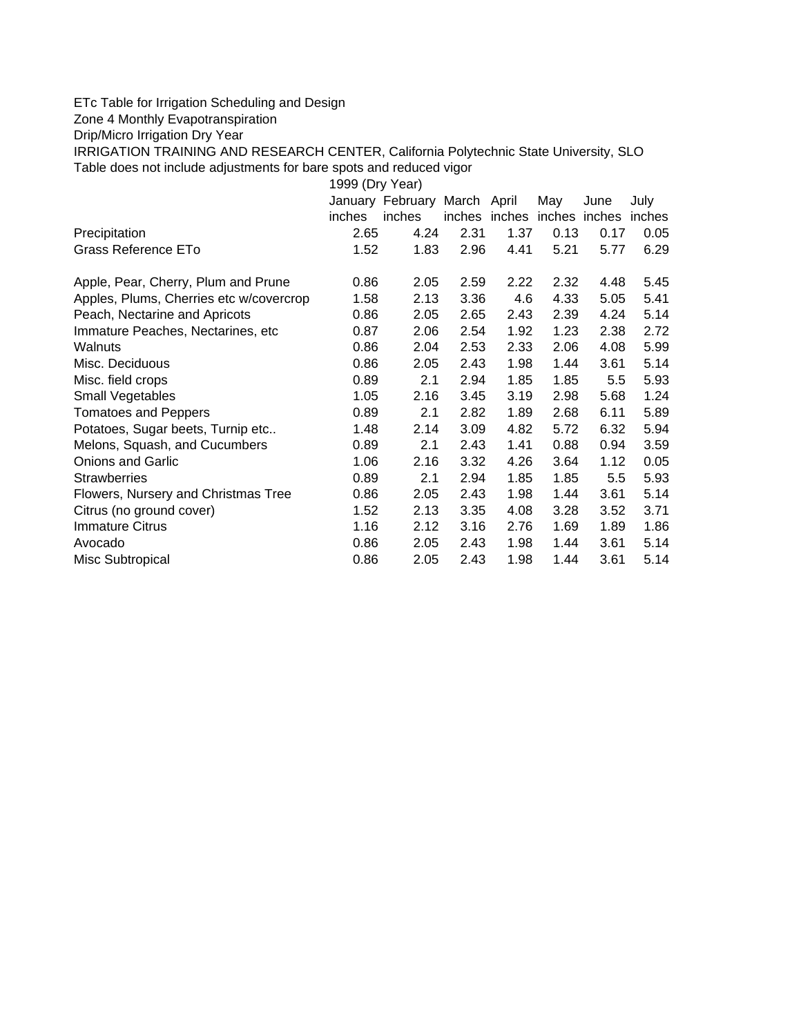## ETc Table for Irrigation Scheduling and Design

Zone 4 Monthly Evapotranspiration

Drip/Micro Irrigation Dry Year

IRRIGATION TRAINING AND RESEARCH CENTER, California Polytechnic State University, SLO Table does not include adjustments for bare spots and reduced vigor

| 1999 (Dry Year)                         |        |                  |               |      |        |        |        |  |  |  |
|-----------------------------------------|--------|------------------|---------------|------|--------|--------|--------|--|--|--|
|                                         |        | January February | March April   |      | May    | June   | July   |  |  |  |
|                                         | inches | inches           | inches inches |      | inches | inches | inches |  |  |  |
| Precipitation                           | 2.65   | 4.24             | 2.31          | 1.37 | 0.13   | 0.17   | 0.05   |  |  |  |
| Grass Reference ETo                     | 1.52   | 1.83             | 2.96          | 4.41 | 5.21   | 5.77   | 6.29   |  |  |  |
| Apple, Pear, Cherry, Plum and Prune     | 0.86   | 2.05             | 2.59          | 2.22 | 2.32   | 4.48   | 5.45   |  |  |  |
| Apples, Plums, Cherries etc w/covercrop | 1.58   | 2.13             | 3.36          | 4.6  | 4.33   | 5.05   | 5.41   |  |  |  |
| Peach, Nectarine and Apricots           | 0.86   | 2.05             | 2.65          | 2.43 | 2.39   | 4.24   | 5.14   |  |  |  |
| Immature Peaches, Nectarines, etc.      | 0.87   | 2.06             | 2.54          | 1.92 | 1.23   | 2.38   | 2.72   |  |  |  |
| Walnuts                                 | 0.86   | 2.04             | 2.53          | 2.33 | 2.06   | 4.08   | 5.99   |  |  |  |
| Misc. Deciduous                         | 0.86   | 2.05             | 2.43          | 1.98 | 1.44   | 3.61   | 5.14   |  |  |  |
| Misc. field crops                       | 0.89   | 2.1              | 2.94          | 1.85 | 1.85   | 5.5    | 5.93   |  |  |  |
| Small Vegetables                        | 1.05   | 2.16             | 3.45          | 3.19 | 2.98   | 5.68   | 1.24   |  |  |  |
| <b>Tomatoes and Peppers</b>             | 0.89   | 2.1              | 2.82          | 1.89 | 2.68   | 6.11   | 5.89   |  |  |  |
| Potatoes, Sugar beets, Turnip etc       | 1.48   | 2.14             | 3.09          | 4.82 | 5.72   | 6.32   | 5.94   |  |  |  |
| Melons, Squash, and Cucumbers           | 0.89   | 2.1              | 2.43          | 1.41 | 0.88   | 0.94   | 3.59   |  |  |  |
| <b>Onions and Garlic</b>                | 1.06   | 2.16             | 3.32          | 4.26 | 3.64   | 1.12   | 0.05   |  |  |  |
| <b>Strawberries</b>                     | 0.89   | 2.1              | 2.94          | 1.85 | 1.85   | 5.5    | 5.93   |  |  |  |
| Flowers, Nursery and Christmas Tree     | 0.86   | 2.05             | 2.43          | 1.98 | 1.44   | 3.61   | 5.14   |  |  |  |
| Citrus (no ground cover)                | 1.52   | 2.13             | 3.35          | 4.08 | 3.28   | 3.52   | 3.71   |  |  |  |
| <b>Immature Citrus</b>                  | 1.16   | 2.12             | 3.16          | 2.76 | 1.69   | 1.89   | 1.86   |  |  |  |
| Avocado                                 | 0.86   | 2.05             | 2.43          | 1.98 | 1.44   | 3.61   | 5.14   |  |  |  |
| Misc Subtropical                        | 0.86   | 2.05             | 2.43          | 1.98 | 1.44   | 3.61   | 5.14   |  |  |  |